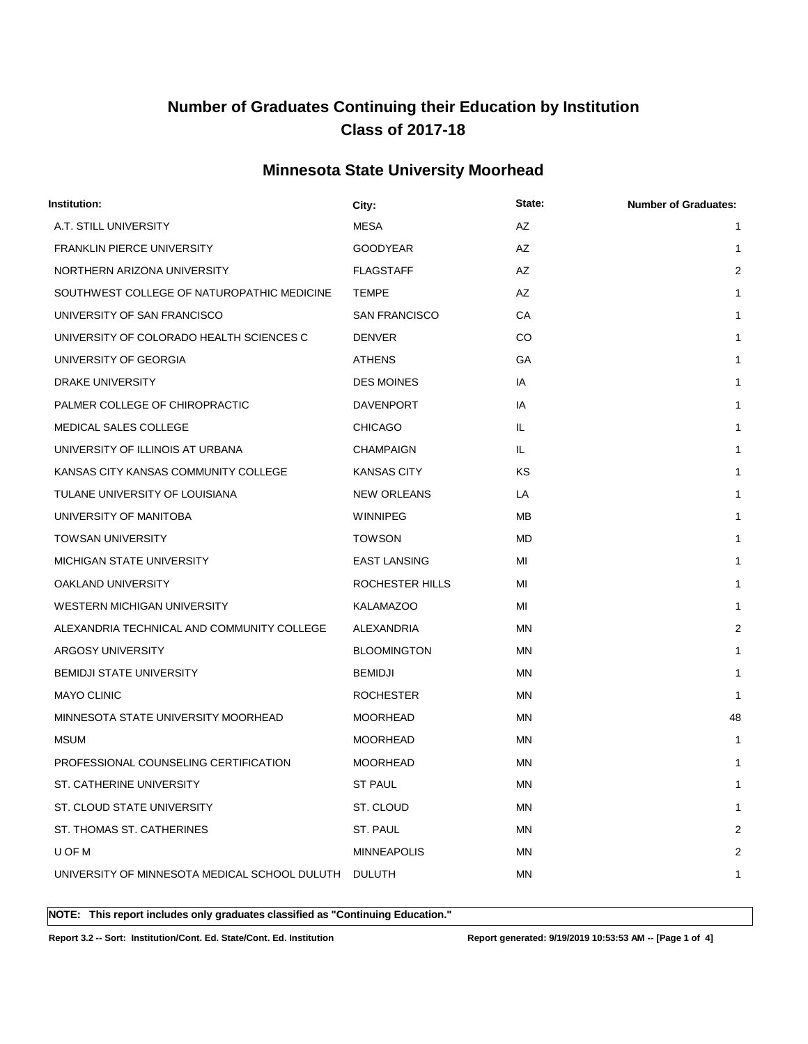### **Minnesota State University Moorhead**

| Institution:                                         | City:                | State:    | <b>Number of Graduates:</b> |
|------------------------------------------------------|----------------------|-----------|-----------------------------|
| A.T. STILL UNIVERSITY                                | MESA                 | AZ        | $\mathbf{1}$                |
| <b>FRANKLIN PIERCE UNIVERSITY</b>                    | <b>GOODYEAR</b>      | AZ        | 1                           |
| NORTHERN ARIZONA UNIVERSITY                          | <b>FLAGSTAFF</b>     | AZ        | 2                           |
| SOUTHWEST COLLEGE OF NATUROPATHIC MEDICINE           | <b>TEMPE</b>         | AZ        | $\mathbf{1}$                |
| UNIVERSITY OF SAN FRANCISCO                          | <b>SAN FRANCISCO</b> | СA        | $\mathbf{1}$                |
| UNIVERSITY OF COLORADO HEALTH SCIENCES C             | <b>DENVER</b>        | CO        | $\mathbf{1}$                |
| UNIVERSITY OF GEORGIA                                | <b>ATHENS</b>        | GА        | $\mathbf{1}$                |
| DRAKE UNIVERSITY                                     | <b>DES MOINES</b>    | IA        | $\mathbf{1}$                |
| PALMER COLLEGE OF CHIROPRACTIC                       | <b>DAVENPORT</b>     | IA        | 1                           |
| <b>MEDICAL SALES COLLEGE</b>                         | <b>CHICAGO</b>       | IL.       | $\mathbf{1}$                |
| UNIVERSITY OF ILLINOIS AT URBANA                     | <b>CHAMPAIGN</b>     | IL.       | 1                           |
| KANSAS CITY KANSAS COMMUNITY COLLEGE                 | <b>KANSAS CITY</b>   | ΚS        | $\mathbf 1$                 |
| TULANE UNIVERSITY OF LOUISIANA                       | NEW ORLEANS          | LA        | $\mathbf{1}$                |
| UNIVERSITY OF MANITOBA                               | <b>WINNIPEG</b>      | MВ        | 1                           |
| <b>TOWSAN UNIVERSITY</b>                             | <b>TOWSON</b>        | MD        | $\mathbf{1}$                |
| <b>MICHIGAN STATE UNIVERSITY</b>                     | <b>EAST LANSING</b>  | MI        | $\mathbf{1}$                |
| OAKLAND UNIVERSITY                                   | ROCHESTER HILLS      | MI        | $\mathbf{1}$                |
| WESTERN MICHIGAN UNIVERSITY                          | <b>KALAMAZOO</b>     | MI        | $\mathbf{1}$                |
| ALEXANDRIA TECHNICAL AND COMMUNITY COLLEGE           | ALEXANDRIA           | ΜN        | 2                           |
| ARGOSY UNIVERSITY                                    | <b>BLOOMINGTON</b>   | MN        | $\mathbf{1}$                |
| <b>BEMIDJI STATE UNIVERSITY</b>                      | <b>BEMIDJI</b>       | ΜN        | 1                           |
| <b>MAYO CLINIC</b>                                   | <b>ROCHESTER</b>     | ΜN        | $\mathbf{1}$                |
| MINNESOTA STATE UNIVERSITY MOORHEAD                  | <b>MOORHEAD</b>      | ΜN        | 48                          |
| <b>MSUM</b>                                          | <b>MOORHEAD</b>      | ΜN        | 1                           |
| PROFESSIONAL COUNSELING CERTIFICATION                | <b>MOORHEAD</b>      | ΜN        | 1                           |
| ST. CATHERINE UNIVERSITY                             | ST PAUL              | ΜN        | 1                           |
| ST. CLOUD STATE UNIVERSITY                           | ST. CLOUD            | ΜN        | $\mathbf 1$                 |
| ST. THOMAS ST. CATHERINES                            | ST. PAUL             | <b>MN</b> | 2                           |
| U OF M                                               | <b>MINNEAPOLIS</b>   | MN        | 2                           |
| UNIVERSITY OF MINNESOTA MEDICAL SCHOOL DULUTH DULUTH |                      | MN        | 1                           |
|                                                      |                      |           |                             |

**NOTE: This report includes only graduates classified as "Continuing Education."** 

**Report 3.2 -- Sort: Institution/Cont. Ed. State/Cont. Ed. Institution Report generated: 9/19/2019 10:53:53 AM -- [Page 1 of 4]**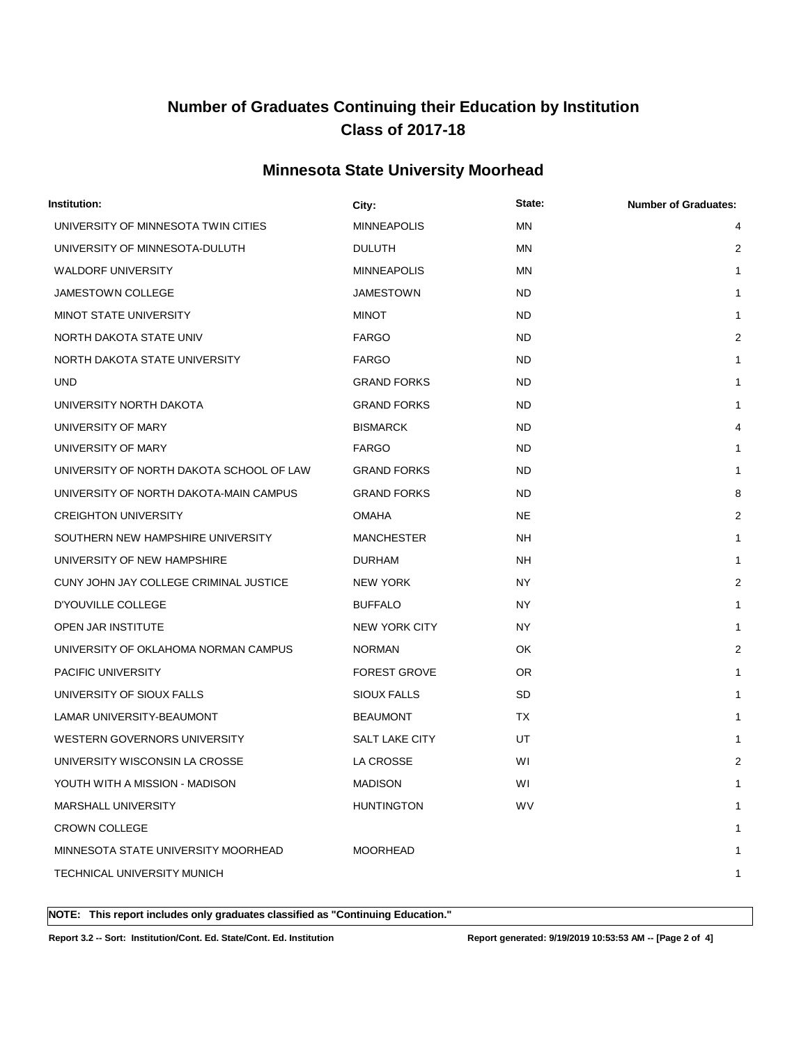### **Minnesota State University Moorhead**

| Institution:                             | City:               | State:    | <b>Number of Graduates:</b> |
|------------------------------------------|---------------------|-----------|-----------------------------|
| UNIVERSITY OF MINNESOTA TWIN CITIES      | <b>MINNEAPOLIS</b>  | <b>MN</b> | 4                           |
| UNIVERSITY OF MINNESOTA-DULUTH           | <b>DULUTH</b>       | ΜN        | $\overline{2}$              |
| <b>WALDORF UNIVERSITY</b>                | <b>MINNEAPOLIS</b>  | MN        | 1                           |
| JAMESTOWN COLLEGE                        | JAMESTOWN           | ND        | 1                           |
| MINOT STATE UNIVERSITY                   | <b>MINOT</b>        | ND        | 1                           |
| NORTH DAKOTA STATE UNIV                  | <b>FARGO</b>        | ND        | $\overline{2}$              |
| NORTH DAKOTA STATE UNIVERSITY            | <b>FARGO</b>        | ND        | 1                           |
| <b>UND</b>                               | <b>GRAND FORKS</b>  | ND        | 1                           |
| UNIVERSITY NORTH DAKOTA                  | <b>GRAND FORKS</b>  | ND        | 1                           |
| UNIVERSITY OF MARY                       | <b>BISMARCK</b>     | ND        | 4                           |
| UNIVERSITY OF MARY                       | <b>FARGO</b>        | ND        | 1                           |
| UNIVERSITY OF NORTH DAKOTA SCHOOL OF LAW | <b>GRAND FORKS</b>  | ND        | 1                           |
| UNIVERSITY OF NORTH DAKOTA-MAIN CAMPUS   | <b>GRAND FORKS</b>  | ND        | 8                           |
| <b>CREIGHTON UNIVERSITY</b>              | <b>OMAHA</b>        | NE.       | 2                           |
| SOUTHERN NEW HAMPSHIRE UNIVERSITY        | <b>MANCHESTER</b>   | NH        | $\mathbf{1}$                |
| UNIVERSITY OF NEW HAMPSHIRE              | <b>DURHAM</b>       | NΗ        | 1                           |
| CUNY JOHN JAY COLLEGE CRIMINAL JUSTICE   | NEW YORK            | NY.       | 2                           |
| D'YOUVILLE COLLEGE                       | <b>BUFFALO</b>      | NY.       | 1                           |
| OPEN JAR INSTITUTE                       | NEW YORK CITY       | NY.       | 1                           |
| UNIVERSITY OF OKLAHOMA NORMAN CAMPUS     | <b>NORMAN</b>       | OK        | $\overline{2}$              |
| PACIFIC UNIVERSITY                       | <b>FOREST GROVE</b> | OR.       | 1                           |
| UNIVERSITY OF SIOUX FALLS                | SIOUX FALLS         | <b>SD</b> | 1                           |
| LAMAR UNIVERSITY-BEAUMONT                | <b>BEAUMONT</b>     | <b>TX</b> | 1                           |
| WESTERN GOVERNORS UNIVERSITY             | SALT LAKE CITY      | UT        | 1                           |
| UNIVERSITY WISCONSIN LA CROSSE           | LA CROSSE           | WI        | $\overline{2}$              |
| YOUTH WITH A MISSION - MADISON           | MADISON             | WI        | 1                           |
| MARSHALL UNIVERSITY                      | <b>HUNTINGTON</b>   | <b>WV</b> | 1                           |
| <b>CROWN COLLEGE</b>                     |                     |           | 1                           |
| MINNESOTA STATE UNIVERSITY MOORHEAD      | <b>MOORHEAD</b>     |           | 1                           |
| TECHNICAL UNIVERSITY MUNICH              |                     |           | 1                           |
|                                          |                     |           |                             |

**NOTE: This report includes only graduates classified as "Continuing Education."** 

**Report 3.2 -- Sort: Institution/Cont. Ed. State/Cont. Ed. Institution Report generated: 9/19/2019 10:53:53 AM -- [Page 2 of 4]**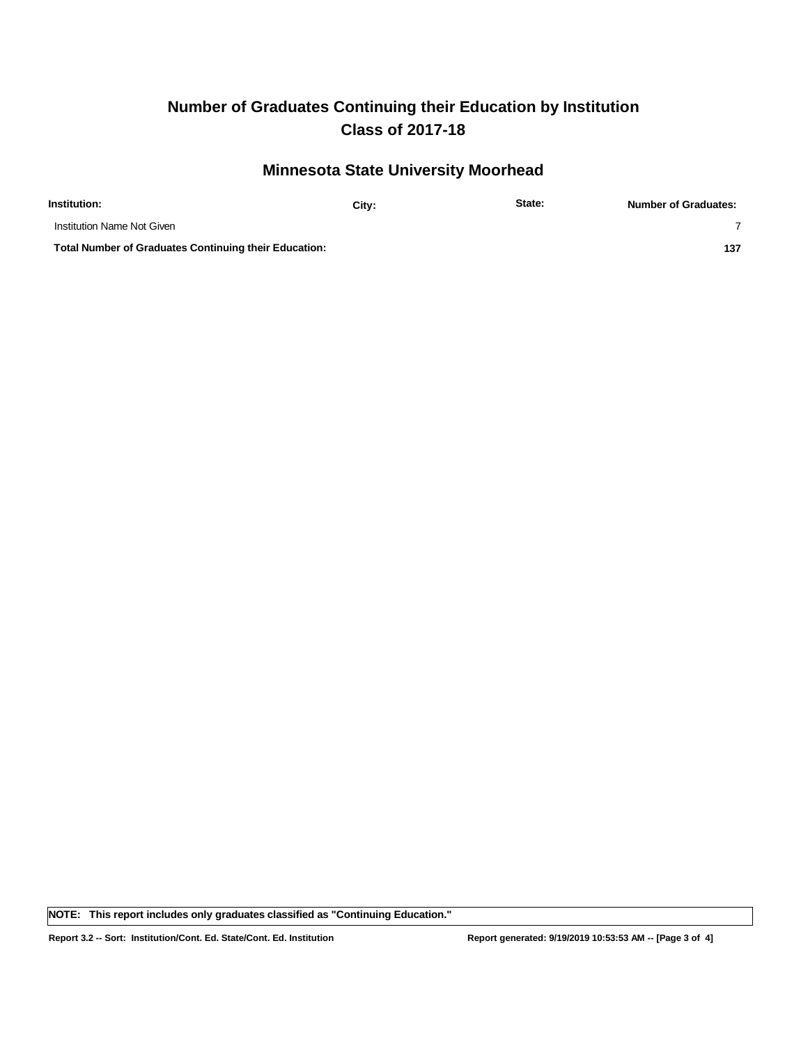### **Minnesota State University Moorhead**

| Institution:                                                 | City: | State: | <b>Number of Graduates:</b> |
|--------------------------------------------------------------|-------|--------|-----------------------------|
| Institution Name Not Given                                   |       |        |                             |
| <b>Total Number of Graduates Continuing their Education:</b> |       |        | 137                         |

**NOTE: This report includes only graduates classified as "Continuing Education."**